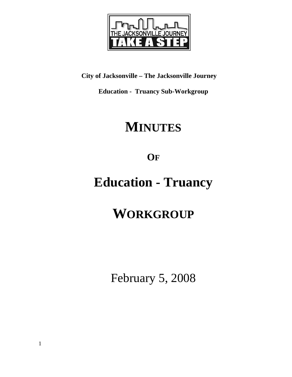

**City of Jacksonville – The Jacksonville Journey** 

**Education - Truancy Sub-Workgroup** 

# **MINUTES**

**OF**

# **Education - Truancy**

# **WORKGROUP**

February 5, 2008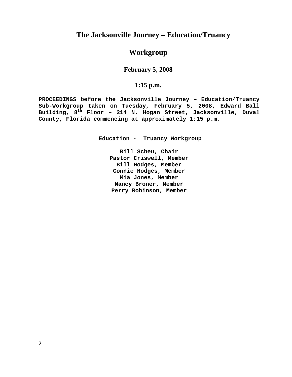## **The Jacksonville Journey – Education/Truancy**

## **Workgroup**

## **February 5, 2008**

## **1:15 p.m.**

**PROCEEDINGS before the Jacksonville Journey – Education/Truancy Sub-Workgroup taken on Tuesday, February 5, 2008, Edward Ball Building, 8th Floor – 214 N. Hogan Street, Jacksonville, Duval County, Florida commencing at approximately 1:15 p.m.** 

**Education - Truancy Workgroup** 

**Bill Scheu, Chair Pastor Criswell, Member Bill Hodges, Member Connie Hodges, Member Mia Jones, Member Nancy Broner, Member Perry Robinson, Member**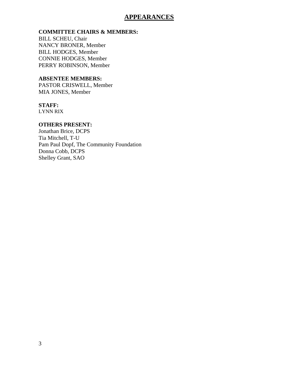## **APPEARANCES**

### **COMMITTEE CHAIRS & MEMBERS:**

BILL SCHEU, Chair NANCY BRONER, Member BILL HODGES, Member CONNIE HODGES, Member PERRY ROBINSON, Member

### **ABSENTEE MEMBERS:**

PASTOR CRISWELL, Member MIA JONES, Member

### **STAFF:**

LYNN RIX

#### **OTHERS PRESENT:**

Jonathan Brice, DCPS Tia Mitchell, T-U Pam Paul Dopf, The Community Foundation Donna Cobb, DCPS Shelley Grant, SAO